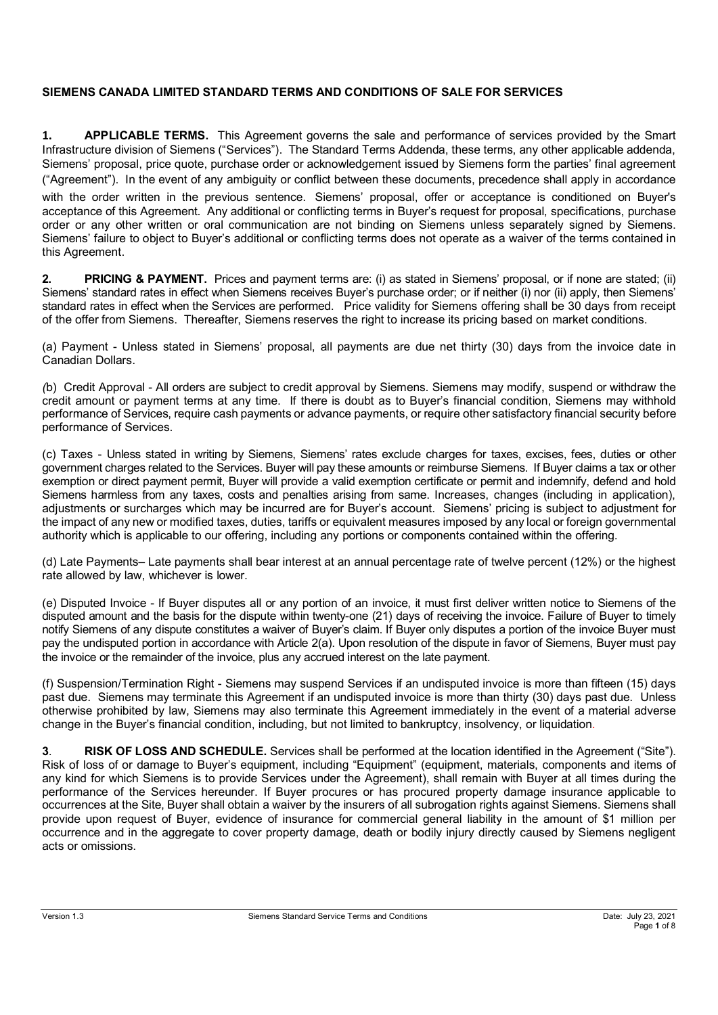### **SIEMENS CANADA LIMITED STANDARD TERMS AND CONDITIONS OF SALE FOR SERVICES**

**1. APPLICABLE TERMS.** This Agreement governs the sale and performance of services provided by the Smart Infrastructure division of Siemens ("Services"). The Standard Terms Addenda, these terms, any other applicable addenda, Siemens' proposal, price quote, purchase order or acknowledgement issued by Siemens form the parties' final agreement ("Agreement"). In the event of any ambiguity or conflict between these documents, precedence shall apply in accordance with the order written in the previous sentence. Siemens' proposal, offer or acceptance is conditioned on Buyer's acceptance of this Agreement. Any additional or conflicting terms in Buyer's request for proposal, specifications, purchase order or any other written or oral communication are not binding on Siemens unless separately signed by Siemens. Siemens' failure to object to Buyer's additional or conflicting terms does not operate as a waiver of the terms contained in this Agreement.

**2. PRICING & PAYMENT.** Prices and payment terms are: (i) as stated in Siemens' proposal, or if none are stated; (ii) Siemens' standard rates in effect when Siemens receives Buyer's purchase order; or if neither (i) nor (ii) apply, then Siemens' standard rates in effect when the Services are performed. Price validity for Siemens offering shall be 30 days from receipt of the offer from Siemens. Thereafter, Siemens reserves the right to increase its pricing based on market conditions.

(a) Payment - Unless stated in Siemens' proposal, all payments are due net thirty (30) days from the invoice date in Canadian Dollars.

*(*b) Credit Approval - All orders are subject to credit approval by Siemens. Siemens may modify, suspend or withdraw the credit amount or payment terms at any time. If there is doubt as to Buyer's financial condition, Siemens may withhold performance of Services, require cash payments or advance payments, or require other satisfactory financial security before performance of Services.

(c) Taxes - Unless stated in writing by Siemens, Siemens' rates exclude charges for taxes, excises, fees, duties or other government charges related to the Services. Buyer will pay these amounts or reimburse Siemens. If Buyer claims a tax or other exemption or direct payment permit, Buyer will provide a valid exemption certificate or permit and indemnify, defend and hold Siemens harmless from any taxes, costs and penalties arising from same. Increases, changes (including in application), adjustments or surcharges which may be incurred are for Buyer's account. Siemens' pricing is subject to adjustment for the impact of any new or modified taxes, duties, tariffs or equivalent measures imposed by any local or foreign governmental authority which is applicable to our offering, including any portions or components contained within the offering.

(d) Late Payments– Late payments shall bear interest at an annual percentage rate of twelve percent (12%) or the highest rate allowed by law, whichever is lower.

(e) Disputed Invoice - If Buyer disputes all or any portion of an invoice, it must first deliver written notice to Siemens of the disputed amount and the basis for the dispute within twenty-one (21) days of receiving the invoice. Failure of Buyer to timely notify Siemens of any dispute constitutes a waiver of Buyer's claim. If Buyer only disputes a portion of the invoice Buyer must pay the undisputed portion in accordance with Article 2(a). Upon resolution of the dispute in favor of Siemens, Buyer must pay the invoice or the remainder of the invoice, plus any accrued interest on the late payment.

(f) Suspension/Termination Right - Siemens may suspend Services if an undisputed invoice is more than fifteen (15) days past due. Siemens may terminate this Agreement if an undisputed invoice is more than thirty (30) days past due. Unless otherwise prohibited by law, Siemens may also terminate this Agreement immediately in the event of a material adverse change in the Buyer's financial condition, including, but not limited to bankruptcy, insolvency, or liquidation.

**3**. **RISK OF LOSS AND SCHEDULE.** Services shall be performed at the location identified in the Agreement ("Site"). Risk of loss of or damage to Buyer's equipment, including "Equipment" (equipment, materials, components and items of any kind for which Siemens is to provide Services under the Agreement), shall remain with Buyer at all times during the performance of the Services hereunder. If Buyer procures or has procured property damage insurance applicable to occurrences at the Site, Buyer shall obtain a waiver by the insurers of all subrogation rights against Siemens. Siemens shall provide upon request of Buyer, evidence of insurance for commercial general liability in the amount of \$1 million per occurrence and in the aggregate to cover property damage, death or bodily injury directly caused by Siemens negligent acts or omissions.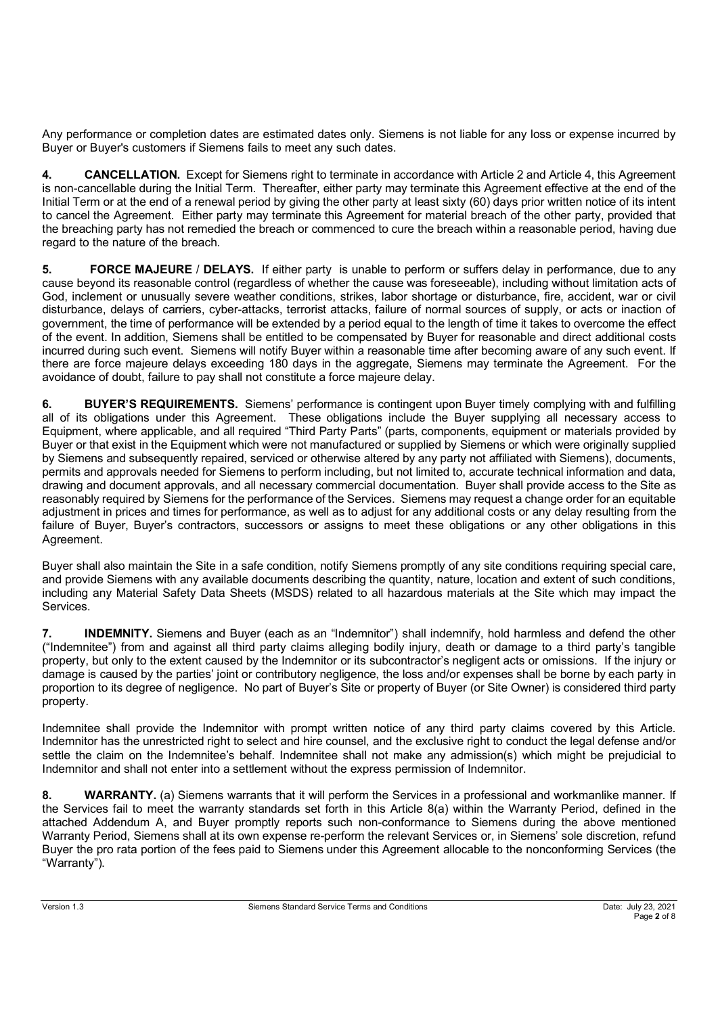Any performance or completion dates are estimated dates only. Siemens is not liable for any loss or expense incurred by Buyer or Buyer's customers if Siemens fails to meet any such dates.

**4. CANCELLATION.** Except for Siemens right to terminate in accordance with Article 2 and Article 4, this Agreement is non-cancellable during the Initial Term. Thereafter, either party may terminate this Agreement effective at the end of the Initial Term or at the end of a renewal period by giving the other party at least sixty (60) days prior written notice of its intent to cancel the Agreement. Either party may terminate this Agreement for material breach of the other party, provided that the breaching party has not remedied the breach or commenced to cure the breach within a reasonable period, having due regard to the nature of the breach.

**5. FORCE MAJEURE** / **DELAYS.** If either party is unable to perform or suffers delay in performance, due to any cause beyond its reasonable control (regardless of whether the cause was foreseeable), including without limitation acts of God, inclement or unusually severe weather conditions, strikes, labor shortage or disturbance, fire, accident, war or civil disturbance, delays of carriers, cyber-attacks, terrorist attacks, failure of normal sources of supply, or acts or inaction of government, the time of performance will be extended by a period equal to the length of time it takes to overcome the effect of the event. In addition, Siemens shall be entitled to be compensated by Buyer for reasonable and direct additional costs incurred during such event. Siemens will notify Buyer within a reasonable time after becoming aware of any such event. If there are force majeure delays exceeding 180 days in the aggregate, Siemens may terminate the Agreement. For the avoidance of doubt, failure to pay shall not constitute a force majeure delay.

**6. BUYER'S REQUIREMENTS.** Siemens' performance is contingent upon Buyer timely complying with and fulfilling all of its obligations under this Agreement. These obligations include the Buyer supplying all necessary access to Equipment, where applicable, and all required "Third Party Parts" (parts, components, equipment or materials provided by Buyer or that exist in the Equipment which were not manufactured or supplied by Siemens or which were originally supplied by Siemens and subsequently repaired, serviced or otherwise altered by any party not affiliated with Siemens), documents, permits and approvals needed for Siemens to perform including, but not limited to, accurate technical information and data, drawing and document approvals, and all necessary commercial documentation. Buyer shall provide access to the Site as reasonably required by Siemens for the performance of the Services. Siemens may request a change order for an equitable adjustment in prices and times for performance, as well as to adjust for any additional costs or any delay resulting from the failure of Buyer, Buyer's contractors, successors or assigns to meet these obligations or any other obligations in this Agreement.

Buyer shall also maintain the Site in a safe condition, notify Siemens promptly of any site conditions requiring special care, and provide Siemens with any available documents describing the quantity, nature, location and extent of such conditions, including any Material Safety Data Sheets (MSDS) related to all hazardous materials at the Site which may impact the Services.

**7. INDEMNITY.** Siemens and Buyer (each as an "Indemnitor") shall indemnify, hold harmless and defend the other ("Indemnitee") from and against all third party claims alleging bodily injury, death or damage to a third party's tangible property, but only to the extent caused by the Indemnitor or its subcontractor's negligent acts or omissions. If the injury or damage is caused by the parties' joint or contributory negligence, the loss and/or expenses shall be borne by each party in proportion to its degree of negligence. No part of Buyer's Site or property of Buyer (or Site Owner) is considered third party property.

Indemnitee shall provide the Indemnitor with prompt written notice of any third party claims covered by this Article. Indemnitor has the unrestricted right to select and hire counsel, and the exclusive right to conduct the legal defense and/or settle the claim on the Indemnitee's behalf. Indemnitee shall not make any admission(s) which might be prejudicial to Indemnitor and shall not enter into a settlement without the express permission of Indemnitor.

**8. WARRANTY.** (a) Siemens warrants that it will perform the Services in a professional and workmanlike manner. If the Services fail to meet the warranty standards set forth in this Article 8(a) within the Warranty Period, defined in the attached Addendum A, and Buyer promptly reports such non-conformance to Siemens during the above mentioned Warranty Period, Siemens shall at its own expense re-perform the relevant Services or, in Siemens' sole discretion, refund Buyer the pro rata portion of the fees paid to Siemens under this Agreement allocable to the nonconforming Services (the "Warranty").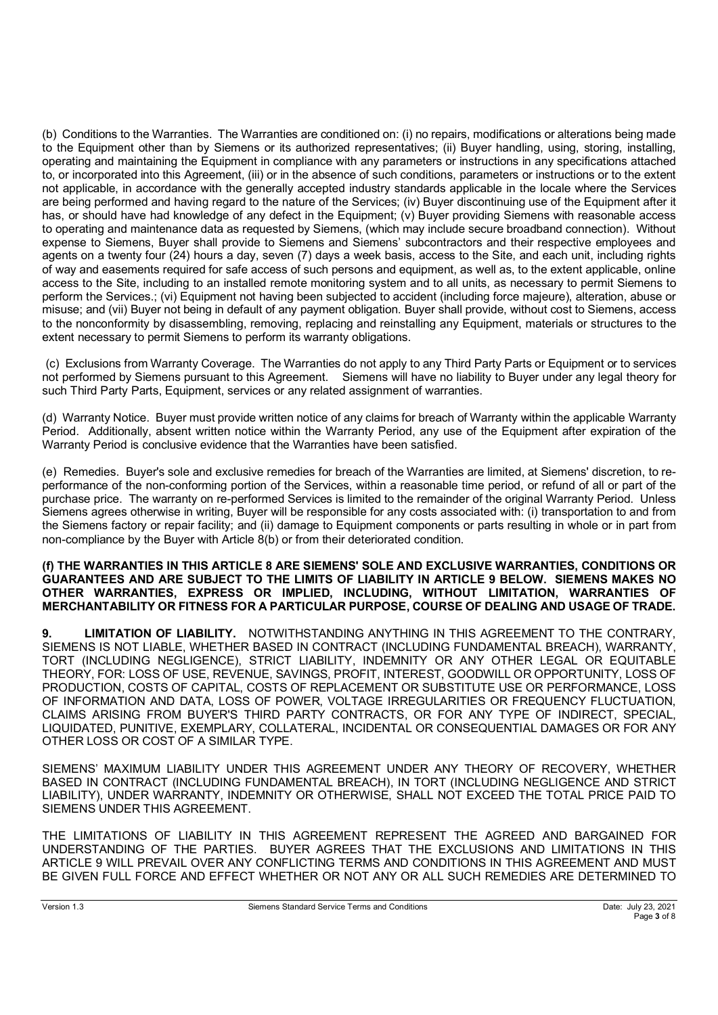(b) Conditions to the Warranties. The Warranties are conditioned on: (i) no repairs, modifications or alterations being made to the Equipment other than by Siemens or its authorized representatives; (ii) Buyer handling, using, storing, installing, operating and maintaining the Equipment in compliance with any parameters or instructions in any specifications attached to, or incorporated into this Agreement, (iii) or in the absence of such conditions, parameters or instructions or to the extent not applicable, in accordance with the generally accepted industry standards applicable in the locale where the Services are being performed and having regard to the nature of the Services; (iv) Buyer discontinuing use of the Equipment after it has, or should have had knowledge of any defect in the Equipment; (v) Buyer providing Siemens with reasonable access to operating and maintenance data as requested by Siemens, (which may include secure broadband connection). Without expense to Siemens, Buyer shall provide to Siemens and Siemens' subcontractors and their respective employees and agents on a twenty four (24) hours a day, seven (7) days a week basis, access to the Site, and each unit, including rights of way and easements required for safe access of such persons and equipment, as well as, to the extent applicable, online access to the Site, including to an installed remote monitoring system and to all units, as necessary to permit Siemens to perform the Services.; (vi) Equipment not having been subjected to accident (including force majeure), alteration, abuse or misuse; and (vii) Buyer not being in default of any payment obligation. Buyer shall provide, without cost to Siemens, access to the nonconformity by disassembling, removing, replacing and reinstalling any Equipment, materials or structures to the extent necessary to permit Siemens to perform its warranty obligations.

 (c) Exclusions from Warranty Coverage. The Warranties do not apply to any Third Party Parts or Equipment or to services not performed by Siemens pursuant to this Agreement. Siemens will have no liability to Buyer under any legal theory for such Third Party Parts, Equipment, services or any related assignment of warranties.

(d) Warranty Notice. Buyer must provide written notice of any claims for breach of Warranty within the applicable Warranty Period. Additionally, absent written notice within the Warranty Period, any use of the Equipment after expiration of the Warranty Period is conclusive evidence that the Warranties have been satisfied.

(e) Remedies. Buyer's sole and exclusive remedies for breach of the Warranties are limited, at Siemens' discretion, to reperformance of the non-conforming portion of the Services, within a reasonable time period, or refund of all or part of the purchase price. The warranty on re-performed Services is limited to the remainder of the original Warranty Period. Unless Siemens agrees otherwise in writing, Buyer will be responsible for any costs associated with: (i) transportation to and from the Siemens factory or repair facility; and (ii) damage to Equipment components or parts resulting in whole or in part from non-compliance by the Buyer with Article 8(b) or from their deteriorated condition.

#### **(f) THE WARRANTIES IN THIS ARTICLE 8 ARE SIEMENS' SOLE AND EXCLUSIVE WARRANTIES, CONDITIONS OR GUARANTEES AND ARE SUBJECT TO THE LIMITS OF LIABILITY IN ARTICLE 9 BELOW. SIEMENS MAKES NO OTHER WARRANTIES, EXPRESS OR IMPLIED, INCLUDING, WITHOUT LIMITATION, WARRANTIES OF MERCHANTABILITY OR FITNESS FOR A PARTICULAR PURPOSE, COURSE OF DEALING AND USAGE OF TRADE.**

**9. LIMITATION OF LIABILITY.** NOTWITHSTANDING ANYTHING IN THIS AGREEMENT TO THE CONTRARY, SIEMENS IS NOT LIABLE, WHETHER BASED IN CONTRACT (INCLUDING FUNDAMENTAL BREACH), WARRANTY, TORT (INCLUDING NEGLIGENCE), STRICT LIABILITY, INDEMNITY OR ANY OTHER LEGAL OR EQUITABLE THEORY, FOR: LOSS OF USE, REVENUE, SAVINGS, PROFIT, INTEREST, GOODWILL OR OPPORTUNITY, LOSS OF PRODUCTION, COSTS OF CAPITAL, COSTS OF REPLACEMENT OR SUBSTITUTE USE OR PERFORMANCE, LOSS OF INFORMATION AND DATA, LOSS OF POWER, VOLTAGE IRREGULARITIES OR FREQUENCY FLUCTUATION, CLAIMS ARISING FROM BUYER'S THIRD PARTY CONTRACTS, OR FOR ANY TYPE OF INDIRECT, SPECIAL, LIQUIDATED, PUNITIVE, EXEMPLARY, COLLATERAL, INCIDENTAL OR CONSEQUENTIAL DAMAGES OR FOR ANY OTHER LOSS OR COST OF A SIMILAR TYPE.

SIEMENS' MAXIMUM LIABILITY UNDER THIS AGREEMENT UNDER ANY THEORY OF RECOVERY, WHETHER BASED IN CONTRACT (INCLUDING FUNDAMENTAL BREACH), IN TORT (INCLUDING NEGLIGENCE AND STRICT LIABILITY), UNDER WARRANTY, INDEMNITY OR OTHERWISE, SHALL NOT EXCEED THE TOTAL PRICE PAID TO SIEMENS UNDER THIS AGREEMENT.

THE LIMITATIONS OF LIABILITY IN THIS AGREEMENT REPRESENT THE AGREED AND BARGAINED FOR UNDERSTANDING OF THE PARTIES. BUYER AGREES THAT THE EXCLUSIONS AND LIMITATIONS IN THIS ARTICLE 9 WILL PREVAIL OVER ANY CONFLICTING TERMS AND CONDITIONS IN THIS AGREEMENT AND MUST BE GIVEN FULL FORCE AND EFFECT WHETHER OR NOT ANY OR ALL SUCH REMEDIES ARE DETERMINED TO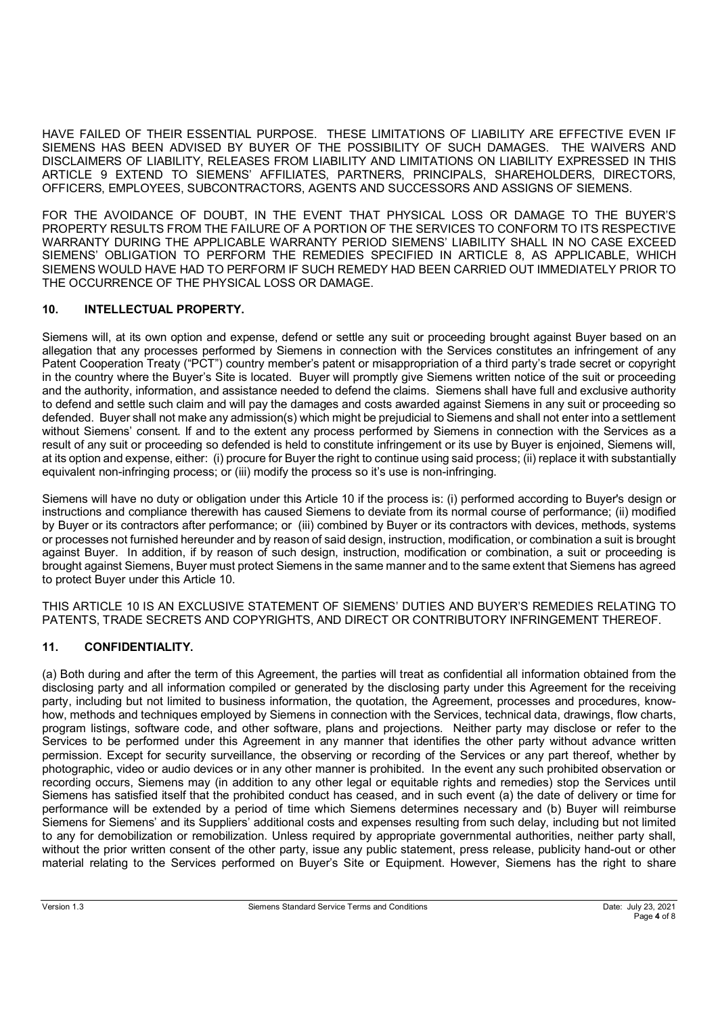HAVE FAILED OF THEIR ESSENTIAL PURPOSE. THESE LIMITATIONS OF LIABILITY ARE EFFECTIVE EVEN IF SIEMENS HAS BEEN ADVISED BY BUYER OF THE POSSIBILITY OF SUCH DAMAGES. THE WAIVERS AND DISCLAIMERS OF LIABILITY, RELEASES FROM LIABILITY AND LIMITATIONS ON LIABILITY EXPRESSED IN THIS ARTICLE 9 EXTEND TO SIEMENS' AFFILIATES, PARTNERS, PRINCIPALS, SHAREHOLDERS, DIRECTORS, OFFICERS, EMPLOYEES, SUBCONTRACTORS, AGENTS AND SUCCESSORS AND ASSIGNS OF SIEMENS.

FOR THE AVOIDANCE OF DOUBT, IN THE EVENT THAT PHYSICAL LOSS OR DAMAGE TO THE BUYER'S PROPERTY RESULTS FROM THE FAILURE OF A PORTION OF THE SERVICES TO CONFORM TO ITS RESPECTIVE WARRANTY DURING THE APPLICABLE WARRANTY PERIOD SIEMENS' LIABILITY SHALL IN NO CASE EXCEED SIEMENS' OBLIGATION TO PERFORM THE REMEDIES SPECIFIED IN ARTICLE 8, AS APPLICABLE, WHICH SIEMENS WOULD HAVE HAD TO PERFORM IF SUCH REMEDY HAD BEEN CARRIED OUT IMMEDIATELY PRIOR TO THE OCCURRENCE OF THE PHYSICAL LOSS OR DAMAGE.

### **10. INTELLECTUAL PROPERTY.**

Siemens will, at its own option and expense, defend or settle any suit or proceeding brought against Buyer based on an allegation that any processes performed by Siemens in connection with the Services constitutes an infringement of any Patent Cooperation Treaty ("PCT") country member's patent or misappropriation of a third party's trade secret or copyright in the country where the Buyer's Site is located. Buyer will promptly give Siemens written notice of the suit or proceeding and the authority, information, and assistance needed to defend the claims. Siemens shall have full and exclusive authority to defend and settle such claim and will pay the damages and costs awarded against Siemens in any suit or proceeding so defended. Buyer shall not make any admission(s) which might be prejudicial to Siemens and shall not enter into a settlement without Siemens' consent. If and to the extent any process performed by Siemens in connection with the Services as a result of any suit or proceeding so defended is held to constitute infringement or its use by Buyer is enjoined, Siemens will, at its option and expense, either: (i) procure for Buyer the right to continue using said process; (ii) replace it with substantially equivalent non-infringing process; or (iii) modify the process so it's use is non-infringing.

Siemens will have no duty or obligation under this Article 10 if the process is: (i) performed according to Buyer's design or instructions and compliance therewith has caused Siemens to deviate from its normal course of performance; (ii) modified by Buyer or its contractors after performance; or (iii) combined by Buyer or its contractors with devices, methods, systems or processes not furnished hereunder and by reason of said design, instruction, modification, or combination a suit is brought against Buyer. In addition, if by reason of such design, instruction, modification or combination, a suit or proceeding is brought against Siemens, Buyer must protect Siemens in the same manner and to the same extent that Siemens has agreed to protect Buyer under this Article 10.

THIS ARTICLE 10 IS AN EXCLUSIVE STATEMENT OF SIEMENS' DUTIES AND BUYER'S REMEDIES RELATING TO PATENTS, TRADE SECRETS AND COPYRIGHTS, AND DIRECT OR CONTRIBUTORY INFRINGEMENT THEREOF.

# **11. CONFIDENTIALITY.**

(a) Both during and after the term of this Agreement, the parties will treat as confidential all information obtained from the disclosing party and all information compiled or generated by the disclosing party under this Agreement for the receiving party, including but not limited to business information, the quotation, the Agreement, processes and procedures, knowhow, methods and techniques employed by Siemens in connection with the Services, technical data, drawings, flow charts, program listings, software code, and other software, plans and projections. Neither party may disclose or refer to the Services to be performed under this Agreement in any manner that identifies the other party without advance written permission. Except for security surveillance, the observing or recording of the Services or any part thereof, whether by photographic, video or audio devices or in any other manner is prohibited. In the event any such prohibited observation or recording occurs, Siemens may (in addition to any other legal or equitable rights and remedies) stop the Services until Siemens has satisfied itself that the prohibited conduct has ceased, and in such event (a) the date of delivery or time for performance will be extended by a period of time which Siemens determines necessary and (b) Buyer will reimburse Siemens for Siemens' and its Suppliers' additional costs and expenses resulting from such delay, including but not limited to any for demobilization or remobilization. Unless required by appropriate governmental authorities, neither party shall, without the prior written consent of the other party, issue any public statement, press release, publicity hand-out or other material relating to the Services performed on Buyer's Site or Equipment. However, Siemens has the right to share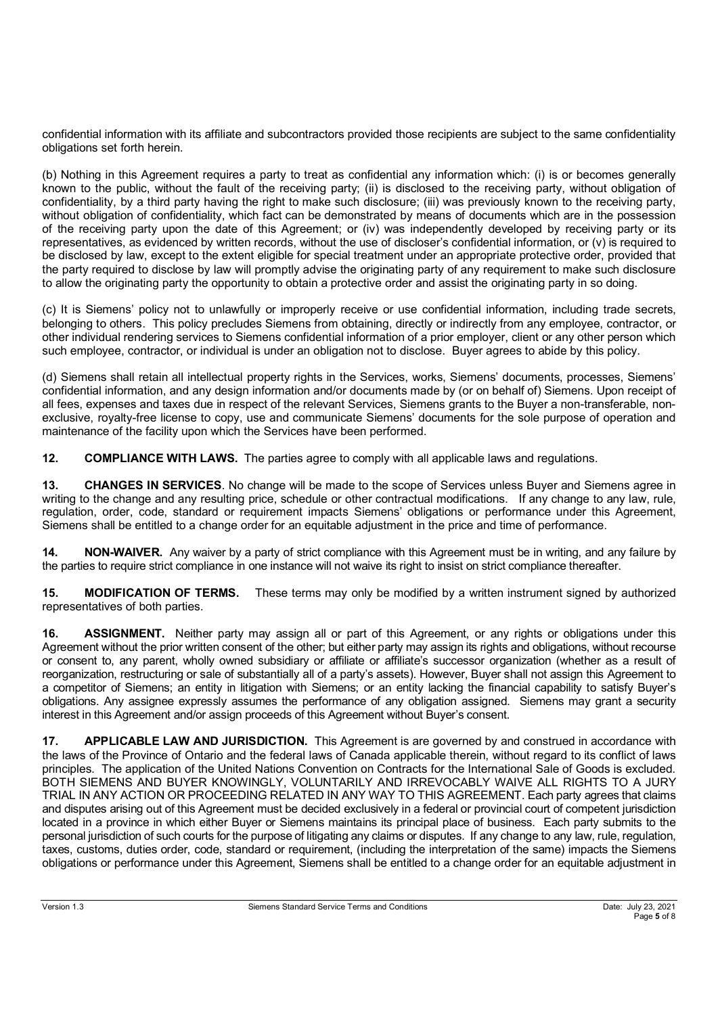confidential information with its affiliate and subcontractors provided those recipients are subject to the same confidentiality obligations set forth herein.

(b) Nothing in this Agreement requires a party to treat as confidential any information which: (i) is or becomes generally known to the public, without the fault of the receiving party; (ii) is disclosed to the receiving party, without obligation of confidentiality, by a third party having the right to make such disclosure; (iii) was previously known to the receiving party, without obligation of confidentiality, which fact can be demonstrated by means of documents which are in the possession of the receiving party upon the date of this Agreement; or (iv) was independently developed by receiving party or its representatives, as evidenced by written records, without the use of discloser's confidential information, or (v) is required to be disclosed by law, except to the extent eligible for special treatment under an appropriate protective order, provided that the party required to disclose by law will promptly advise the originating party of any requirement to make such disclosure to allow the originating party the opportunity to obtain a protective order and assist the originating party in so doing.

(c) It is Siemens' policy not to unlawfully or improperly receive or use confidential information, including trade secrets, belonging to others. This policy precludes Siemens from obtaining, directly or indirectly from any employee, contractor, or other individual rendering services to Siemens confidential information of a prior employer, client or any other person which such employee, contractor, or individual is under an obligation not to disclose. Buyer agrees to abide by this policy.

(d) Siemens shall retain all intellectual property rights in the Services, works, Siemens' documents, processes, Siemens' confidential information, and any design information and/or documents made by (or on behalf of) Siemens. Upon receipt of all fees, expenses and taxes due in respect of the relevant Services, Siemens grants to the Buyer a non-transferable, nonexclusive, royalty-free license to copy, use and communicate Siemens' documents for the sole purpose of operation and maintenance of the facility upon which the Services have been performed.

**12. COMPLIANCE WITH LAWS.** The parties agree to comply with all applicable laws and regulations.

**13. CHANGES IN SERVICES**. No change will be made to the scope of Services unless Buyer and Siemens agree in writing to the change and any resulting price, schedule or other contractual modifications. If any change to any law, rule, regulation, order, code, standard or requirement impacts Siemens' obligations or performance under this Agreement, Siemens shall be entitled to a change order for an equitable adjustment in the price and time of performance.

**14. NON-WAIVER.** Any waiver by a party of strict compliance with this Agreement must be in writing, and any failure by the parties to require strict compliance in one instance will not waive its right to insist on strict compliance thereafter.

**15. MODIFICATION OF TERMS.** These terms may only be modified by a written instrument signed by authorized representatives of both parties.

**16. ASSIGNMENT.** Neither party may assign all or part of this Agreement, or any rights or obligations under this Agreement without the prior written consent of the other; but either party may assign its rights and obligations, without recourse or consent to, any parent, wholly owned subsidiary or affiliate or affiliate's successor organization (whether as a result of reorganization, restructuring or sale of substantially all of a party's assets). However, Buyer shall not assign this Agreement to a competitor of Siemens; an entity in litigation with Siemens; or an entity lacking the financial capability to satisfy Buyer's obligations. Any assignee expressly assumes the performance of any obligation assigned. Siemens may grant a security interest in this Agreement and/or assign proceeds of this Agreement without Buyer's consent.

**17. APPLICABLE LAW AND JURISDICTION.** This Agreement is are governed by and construed in accordance with the laws of the Province of Ontario and the federal laws of Canada applicable therein, without regard to its conflict of laws principles. The application of the United Nations Convention on Contracts for the International Sale of Goods is excluded. BOTH SIEMENS AND BUYER KNOWINGLY, VOLUNTARILY AND IRREVOCABLY WAIVE ALL RIGHTS TO A JURY TRIAL IN ANY ACTION OR PROCEEDING RELATED IN ANY WAY TO THIS AGREEMENT. Each party agrees that claims and disputes arising out of this Agreement must be decided exclusively in a federal or provincial court of competent jurisdiction located in a province in which either Buyer or Siemens maintains its principal place of business. Each party submits to the personal jurisdiction of such courts for the purpose of litigating any claims or disputes. If any change to any law, rule, regulation, taxes, customs, duties order, code, standard or requirement, (including the interpretation of the same) impacts the Siemens obligations or performance under this Agreement, Siemens shall be entitled to a change order for an equitable adjustment in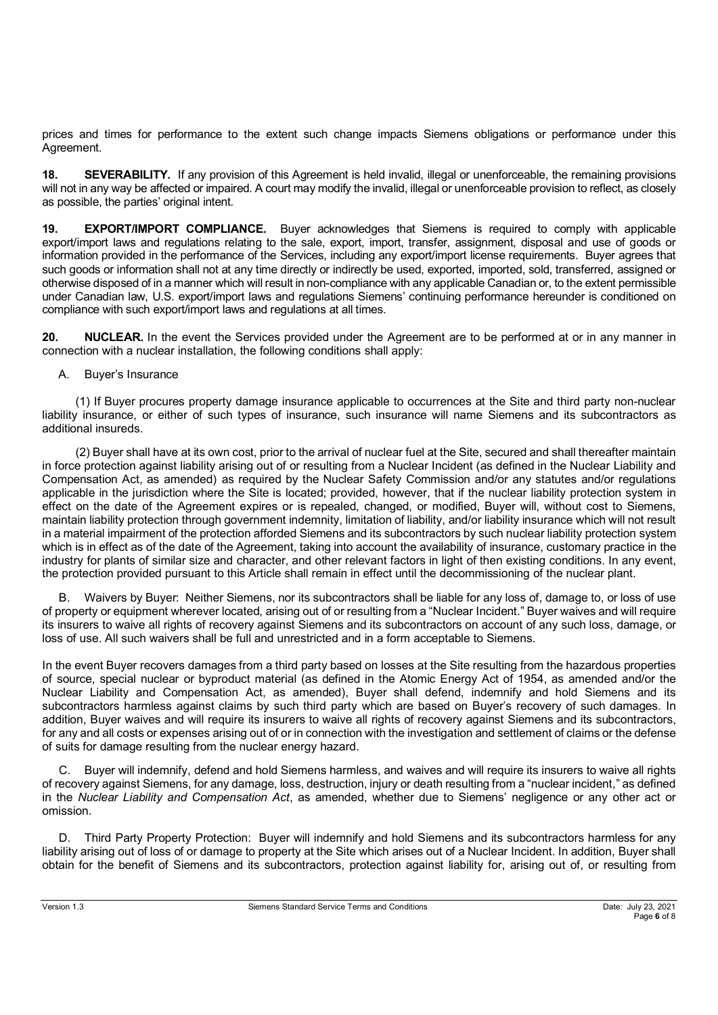prices and times for performance to the extent such change impacts Siemens obligations or performance under this Agreement.

**18. SEVERABILITY.** If any provision of this Agreement is held invalid, illegal or unenforceable, the remaining provisions will not in any way be affected or impaired. A court may modify the invalid, illegal or unenforceable provision to reflect, as closely as possible, the parties' original intent.

**19. EXPORT/IMPORT COMPLIANCE.** Buyer acknowledges that Siemens is required to comply with applicable export/import laws and regulations relating to the sale, export, import, transfer, assignment, disposal and use of goods or information provided in the performance of the Services, including any export/import license requirements. Buyer agrees that such goods or information shall not at any time directly or indirectly be used, exported, imported, sold, transferred, assigned or otherwise disposed of in a manner which will result in non-compliance with any applicable Canadian or, to the extent permissible under Canadian law, U.S. export/import laws and regulations Siemens' continuing performance hereunder is conditioned on compliance with such export/import laws and regulations at all times.

**20. NUCLEAR.** In the event the Services provided under the Agreement are to be performed at or in any manner in connection with a nuclear installation, the following conditions shall apply:

### A. Buyer's Insurance

(1) If Buyer procures property damage insurance applicable to occurrences at the Site and third party non-nuclear liability insurance, or either of such types of insurance, such insurance will name Siemens and its subcontractors as additional insureds.

(2) Buyer shall have at its own cost, prior to the arrival of nuclear fuel at the Site, secured and shall thereafter maintain in force protection against liability arising out of or resulting from a Nuclear Incident (as defined in the Nuclear Liability and Compensation Act, as amended) as required by the Nuclear Safety Commission and/or any statutes and/or regulations applicable in the jurisdiction where the Site is located; provided, however, that if the nuclear liability protection system in effect on the date of the Agreement expires or is repealed, changed, or modified, Buyer will, without cost to Siemens, maintain liability protection through government indemnity, limitation of liability, and/or liability insurance which will not result in a material impairment of the protection afforded Siemens and its subcontractors by such nuclear liability protection system which is in effect as of the date of the Agreement, taking into account the availability of insurance, customary practice in the industry for plants of similar size and character, and other relevant factors in light of then existing conditions. In any event, the protection provided pursuant to this Article shall remain in effect until the decommissioning of the nuclear plant.

B. Waivers by Buyer: Neither Siemens, nor its subcontractors shall be liable for any loss of, damage to, or loss of use of property or equipment wherever located, arising out of or resulting from a "Nuclear Incident." Buyer waives and will require its insurers to waive all rights of recovery against Siemens and its subcontractors on account of any such loss, damage, or loss of use. All such waivers shall be full and unrestricted and in a form acceptable to Siemens.

In the event Buyer recovers damages from a third party based on losses at the Site resulting from the hazardous properties of source, special nuclear or byproduct material (as defined in the Atomic Energy Act of 1954, as amended and/or the Nuclear Liability and Compensation Act, as amended), Buyer shall defend, indemnify and hold Siemens and its subcontractors harmless against claims by such third party which are based on Buyer's recovery of such damages. In addition, Buyer waives and will require its insurers to waive all rights of recovery against Siemens and its subcontractors, for any and all costs or expenses arising out of or in connection with the investigation and settlement of claims or the defense of suits for damage resulting from the nuclear energy hazard.

Buyer will indemnify, defend and hold Siemens harmless, and waives and will require its insurers to waive all rights of recovery against Siemens, for any damage, loss, destruction, injury or death resulting from a "nuclear incident," as defined in the *Nuclear Liability and Compensation Act*, as amended, whether due to Siemens' negligence or any other act or omission.

D. Third Party Property Protection: Buyer will indemnify and hold Siemens and its subcontractors harmless for any liability arising out of loss of or damage to property at the Site which arises out of a Nuclear Incident. In addition, Buyer shall obtain for the benefit of Siemens and its subcontractors, protection against liability for, arising out of, or resulting from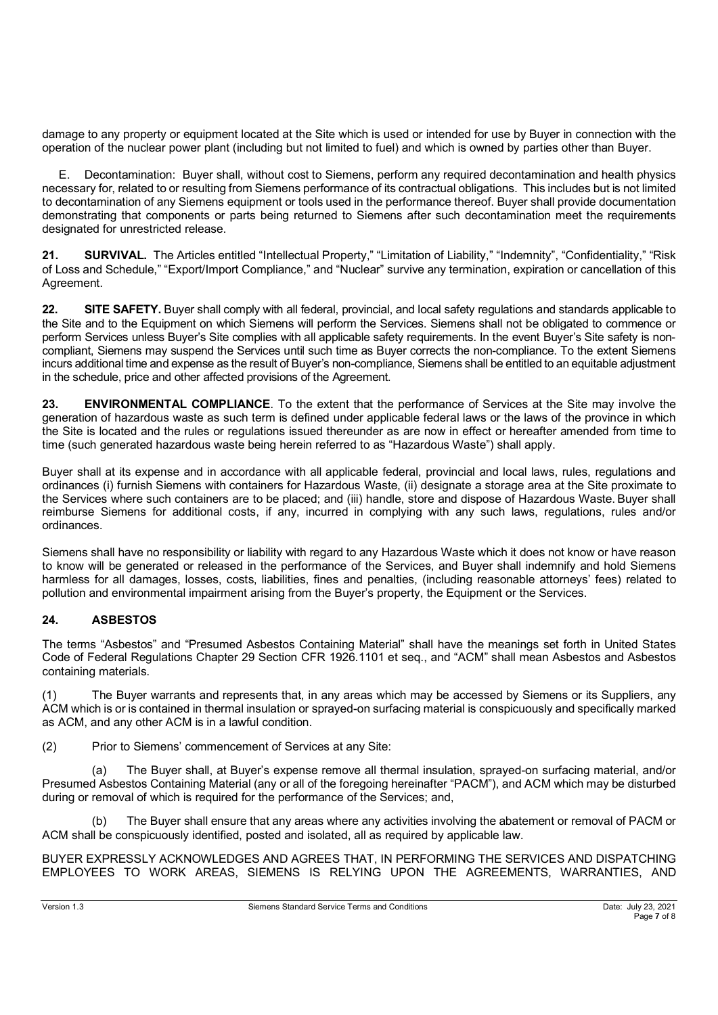damage to any property or equipment located at the Site which is used or intended for use by Buyer in connection with the operation of the nuclear power plant (including but not limited to fuel) and which is owned by parties other than Buyer.

E. Decontamination: Buyer shall, without cost to Siemens, perform any required decontamination and health physics necessary for, related to or resulting from Siemens performance of its contractual obligations. This includes but is not limited to decontamination of any Siemens equipment or tools used in the performance thereof. Buyer shall provide documentation demonstrating that components or parts being returned to Siemens after such decontamination meet the requirements designated for unrestricted release.

21. SURVIVAL. The Articles entitled "Intellectual Property," "Limitation of Liability," "Indemnity", "Confidentiality," "Risk of Loss and Schedule," "Export/Import Compliance," and "Nuclear" survive any termination, expiration or cancellation of this Agreement.

22. SITE SAFETY. Buyer shall comply with all federal, provincial, and local safety regulations and standards applicable to the Site and to the Equipment on which Siemens will perform the Services. Siemens shall not be obligated to commence or perform Services unless Buyer's Site complies with all applicable safety requirements. In the event Buyer's Site safety is noncompliant, Siemens may suspend the Services until such time as Buyer corrects the non-compliance. To the extent Siemens incurs additional time and expense as the result of Buyer's non-compliance, Siemens shall be entitled to an equitable adjustment in the schedule, price and other affected provisions of the Agreement.

**23. ENVIRONMENTAL COMPLIANCE**. To the extent that the performance of Services at the Site may involve the generation of hazardous waste as such term is defined under applicable federal laws or the laws of the province in which the Site is located and the rules or regulations issued thereunder as are now in effect or hereafter amended from time to time (such generated hazardous waste being herein referred to as "Hazardous Waste") shall apply.

Buyer shall at its expense and in accordance with all applicable federal, provincial and local laws, rules, regulations and ordinances (i) furnish Siemens with containers for Hazardous Waste, (ii) designate a storage area at the Site proximate to the Services where such containers are to be placed; and (iii) handle, store and dispose of Hazardous Waste. Buyer shall reimburse Siemens for additional costs, if any, incurred in complying with any such laws, regulations, rules and/or ordinances.

Siemens shall have no responsibility or liability with regard to any Hazardous Waste which it does not know or have reason to know will be generated or released in the performance of the Services, and Buyer shall indemnify and hold Siemens harmless for all damages, losses, costs, liabilities, fines and penalties, (including reasonable attorneys' fees) related to pollution and environmental impairment arising from the Buyer's property, the Equipment or the Services.

# **24. ASBESTOS**

The terms "Asbestos" and "Presumed Asbestos Containing Material" shall have the meanings set forth in United States Code of Federal Regulations Chapter 29 Section CFR 1926.1101 et seq., and "ACM" shall mean Asbestos and Asbestos containing materials.

(1) The Buyer warrants and represents that, in any areas which may be accessed by Siemens or its Suppliers, any ACM which is or is contained in thermal insulation or sprayed-on surfacing material is conspicuously and specifically marked as ACM, and any other ACM is in a lawful condition.

(2) Prior to Siemens' commencement of Services at any Site:

(a) The Buyer shall, at Buyer's expense remove all thermal insulation, sprayed-on surfacing material, and/or Presumed Asbestos Containing Material (any or all of the foregoing hereinafter "PACM"), and ACM which may be disturbed during or removal of which is required for the performance of the Services; and,

(b) The Buyer shall ensure that any areas where any activities involving the abatement or removal of PACM or ACM shall be conspicuously identified, posted and isolated, all as required by applicable law.

BUYER EXPRESSLY ACKNOWLEDGES AND AGREES THAT, IN PERFORMING THE SERVICES AND DISPATCHING EMPLOYEES TO WORK AREAS, SIEMENS IS RELYING UPON THE AGREEMENTS, WARRANTIES, AND